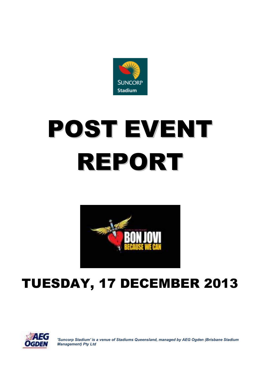

# POST EVENT REPORT



# TUESDAY, 17 DECEMBER 2013



*'Suncorp Stadium' is a venue of Stadiums Queensland, managed by AEG Ogden (Brisbane Stadium Management) Pty Ltd*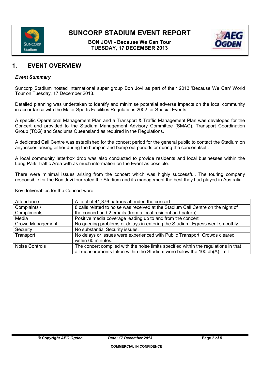

**BON JOVI - Because We Can Tour TUESDAY, 17 DECEMBER 2013**



## **1. EVENT OVERVIEW**

#### *Event Summary*

Suncorp Stadium hosted international super group Bon Jovi as part of their 2013 'Because We Can' World Tour on Tuesday, 17 December 2013.

Detailed planning was undertaken to identify and minimise potential adverse impacts on the local community in accordance with the Major Sports Facilities Regulations 2002 for Special Events.

A specific Operational Management Plan and a Transport & Traffic Management Plan was developed for the Concert and provided to the Stadium Management Advisory Committee (SMAC), Transport Coordination Group (TCG) and Stadiums Queensland as required in the Regulations.

A dedicated Call Centre was established for the concert period for the general public to contact the Stadium on any issues arising either during the bump in and bump out periods or during the concert itself.

A local community letterbox drop was also conducted to provide residents and local businesses within the Lang Park Traffic Area with as much information on the Event as possible.

There were minimal issues arising from the concert which was highly successful. The touring company responsible for the Bon Jovi tour rated the Stadium and its management the best they had played in Australia.

Key deliverables for the Concert were:-

| Attendance              | A total of 41,376 patrons attended the concert                                      |  |
|-------------------------|-------------------------------------------------------------------------------------|--|
| Complaints /            | 8 calls related to noise was received at the Stadium Call Centre on the night of    |  |
| Compliments             | the concert and 2 emails (from a local resident and patron)                         |  |
| Media                   | Positive media coverage leading up to and from the concert                          |  |
| <b>Crowd Management</b> | No queuing problems or delays in entering the Stadium. Egress went smoothly.        |  |
| Security                | No substantial Security issues.                                                     |  |
| Transport               | No delays or issues were experienced with Public Transport. Crowds cleared          |  |
|                         | within 60 minutes.                                                                  |  |
| <b>Noise Controls</b>   | The concert complied with the noise limits specified within the regulations in that |  |
|                         | all measurements taken within the Stadium were below the 100 db(A) limit.           |  |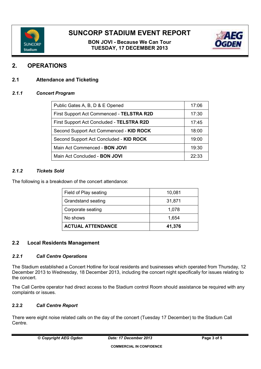

**BON JOVI - Because We Can Tour TUESDAY, 17 DECEMBER 2013**



## **2. OPERATIONS**

#### **2.1 Attendance and Ticketing**

#### *2.1.1 Concert Program*

| Public Gates A, B, D & E Opened           | 17:06 |
|-------------------------------------------|-------|
| First Support Act Commenced - TELSTRA R2D | 17:30 |
| First Support Act Concluded - TELSTRA R2D | 17:45 |
| Second Support Act Commenced - KID ROCK   | 18:00 |
| Second Support Act Concluded - KID ROCK   | 19:00 |
| Main Act Commenced - BON JOVI             | 19:30 |
| Main Act Concluded - <b>BON JOVI</b>      | 22:33 |

#### *2.1.2 Tickets Sold*

The following is a breakdown of the concert attendance:

| Field of Play seating    | 10,081 |
|--------------------------|--------|
| Grandstand seating       | 31,871 |
| Corporate seating        | 1,078  |
| No shows                 | 1,654  |
| <b>ACTUAL ATTENDANCE</b> | 41,376 |

#### **2.2 Local Residents Management**

#### *2.2.1 Call Centre Operations*

The Stadium established a Concert Hotline for local residents and businesses which operated from Thursday, 12 December 2013 to Wednesday, 18 December 2013, including the concert night specifically for issues relating to the concert.

The Call Centre operator had direct access to the Stadium control Room should assistance be required with any complaints or issues.

#### **2.2.2** *Call Centre Report*

There were eight noise related calls on the day of the concert (Tuesday 17 December) to the Stadium Call Centre.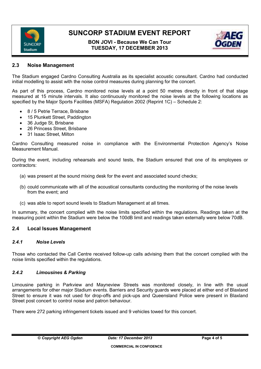

**BON JOVI - Because We Can Tour TUESDAY, 17 DECEMBER 2013**



#### **2.3 Noise Management**

The Stadium engaged Cardno Consulting Australia as its specialist acoustic consultant. Cardno had conducted initial modelling to assist with the noise control measures during planning for the concert.

As part of this process, Cardno monitored noise levels at a point 50 metres directly in front of that stage measured at 15 minute intervals. It also continuously monitored the noise levels at the following locations as specified by the Major Sports Facilities (MSFA) Regulation 2002 (Reprint 1C) – Schedule 2:

- 8 / 5 Petrie Terrace, Brisbane
- 15 Plunkett Street, Paddington
- 36 Judge St, Brisbane
- 26 Princess Street, Brisbane
- 31 Isaac Street, Milton

Cardno Consulting measured noise in compliance with the Environmental Protection Agency's Noise Measurement Manual.

During the event, including rehearsals and sound tests, the Stadium ensured that one of its employees or contractors:

- (a) was present at the sound mixing desk for the event and associated sound checks;
- (b) could communicate with all of the acoustical consultants conducting the monitoring of the noise levels from the event; and
- (c) was able to report sound levels to Stadium Management at all times.

In summary, the concert complied with the noise limits specified within the regulations. Readings taken at the measuring point within the Stadium were below the 100dB limit and readings taken externally were below 70dB.

#### **2.4 Local Issues Management**

#### *2.4.1 Noise Levels*

Those who contacted the Call Centre received follow-up calls advising them that the concert complied with the noise limits specified within the regulations.

#### *2.4.2 Limousines & Parking*

Limousine parking in Parkview and Mayneview Streets was monitored closely, in line with the usual arrangements for other major Stadium events. Barriers and Security guards were placed at either end of Blaxland Street to ensure it was not used for drop-offs and pick-ups and Queensland Police were present in Blaxland Street post concert to control noise and patron behaviour.

There were 272 parking infringement tickets issued and 9 vehicles towed for this concert.